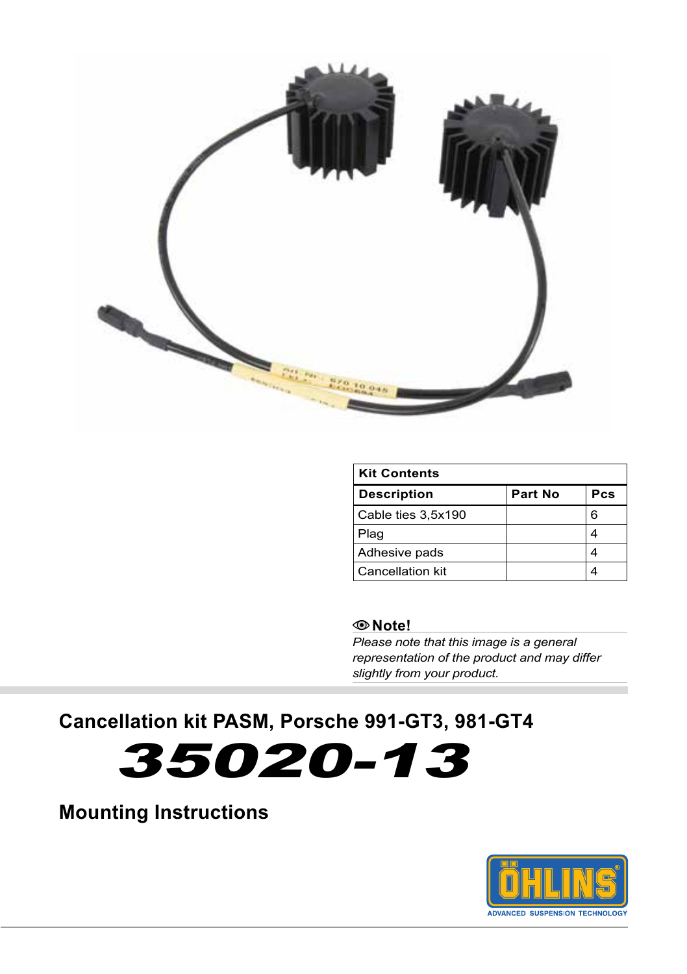

| <b>Kit Contents</b> |         |     |
|---------------------|---------|-----|
| <b>Description</b>  | Part No | Pcs |
| Cable ties 3,5x190  |         | 6   |
| Plag                |         |     |
| Adhesive pads       |         |     |
| Cancellation kit    |         |     |

#### **Note!**

*Please note that this image is a general representation of the product and may differ slightly from your product.*

# **Cancellation kit PASM, Porsche 991-GT3, 981-GT4**

35020-13

**Mounting Instructions**

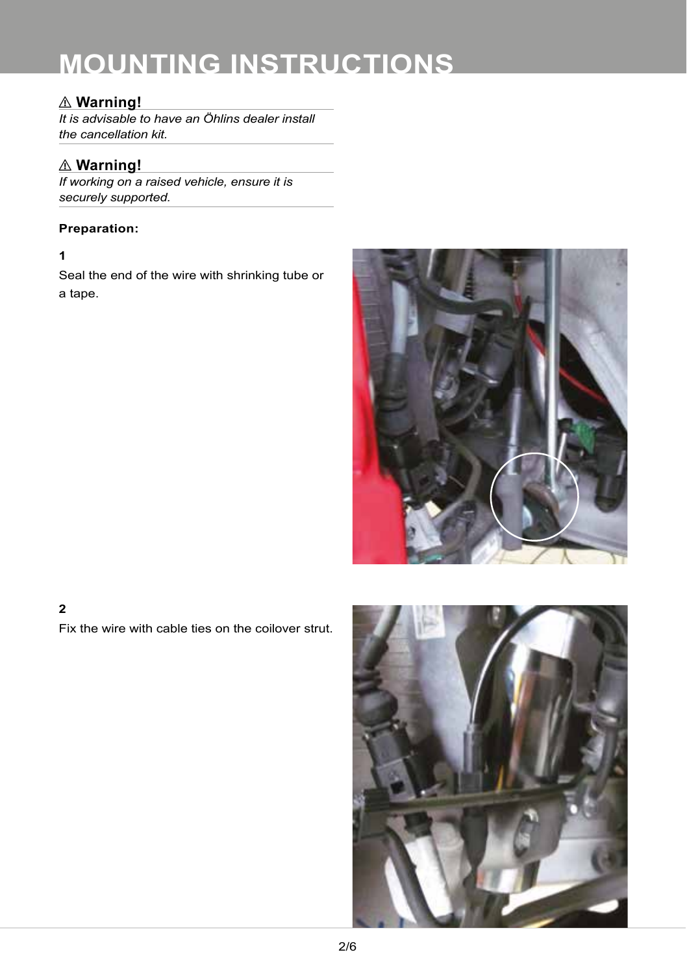# ⚠ **Warning!**

*It is advisable to have an Öhlins dealer install the cancellation kit.*

# ⚠ **Warning!**

*If working on a raised vehicle, ensure it is securely supported.*

#### **Preparation:**

#### **1**

Seal the end of the wire with shrinking tube or a tape.



# **2**

Fix the wire with cable ties on the coilover strut.

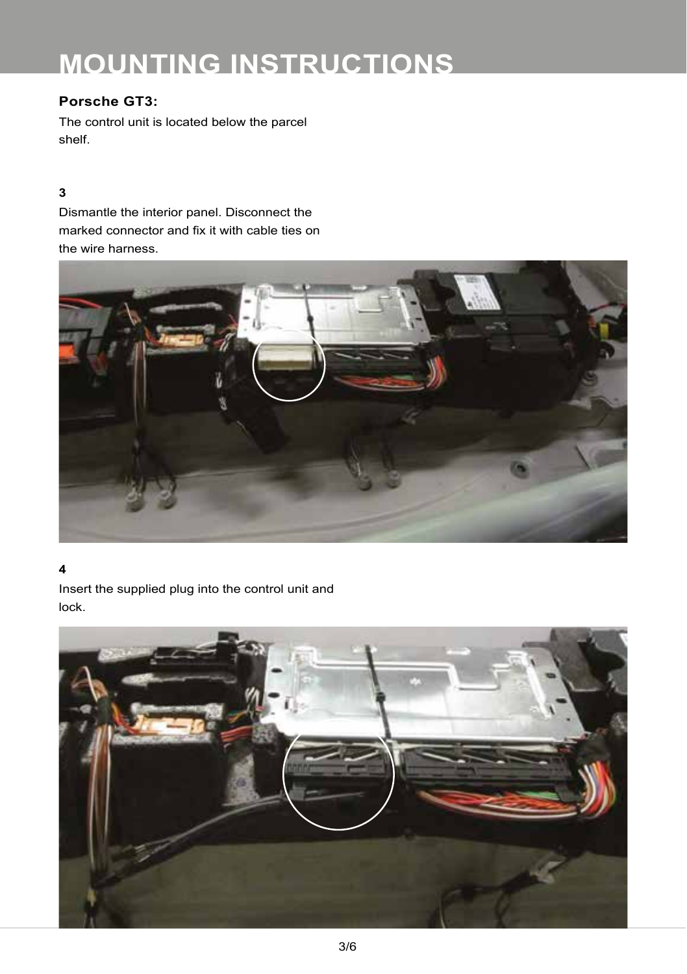### **Porsche GT3:**

The control unit is located below the parcel shelf.

#### **3**

Dismantle the interior panel. Disconnect the marked connector and fix it with cable ties on the wire harness.



#### **4**

Insert the supplied plug into the control unit and lock.

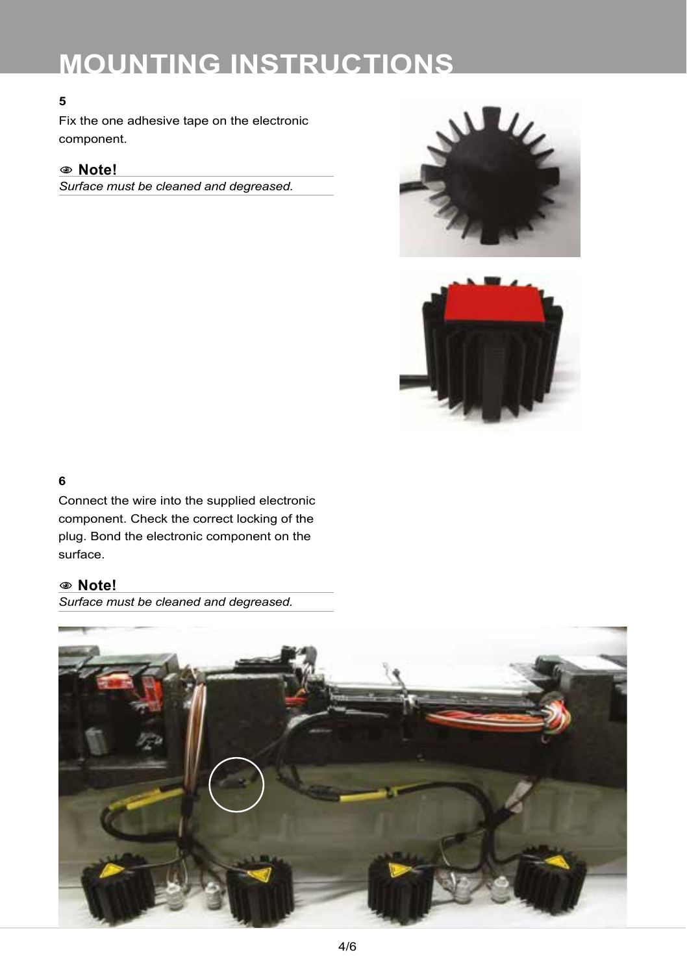#### **5**

Fix the one adhesive tape on the electronic component.

# 1**1 Note!**

*Surface must be cleaned and degreased.* 





#### **6**

Connect the wire into the supplied electronic component. Check the correct locking of the plug. Bond the electronic component on the surface.

## 1**1 Note!**

*Surface must be cleaned and degreased.*

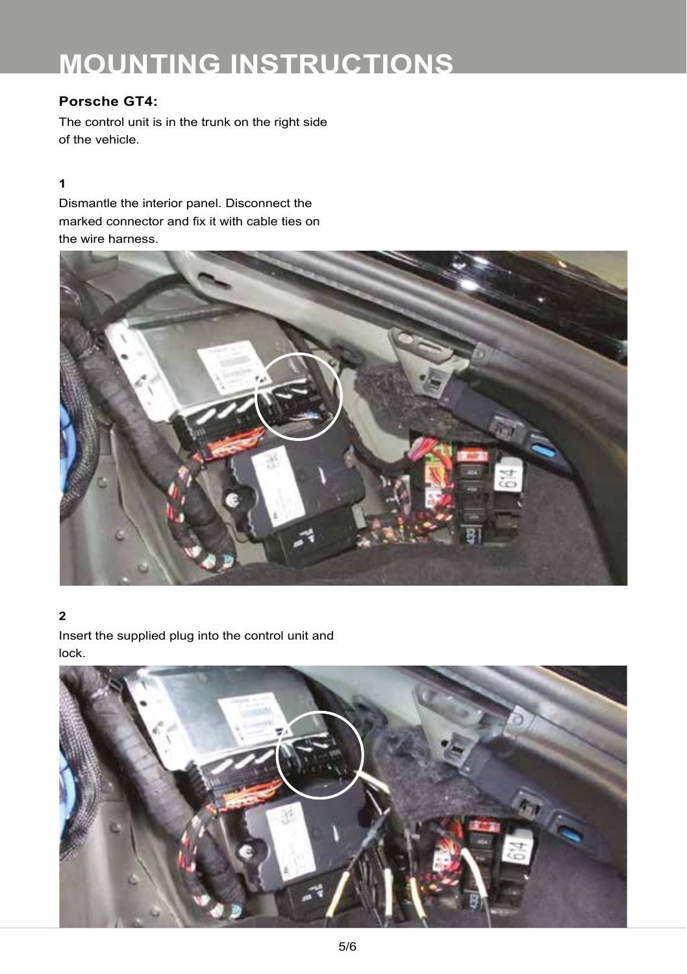# **Porsche GT4:**

The control unit is in the trunk on the right side of the vehicle.

#### **1**

Dismantle the interior panel. Disconnect the marked connector and fix it with cable ties on the wire harness.



### **2**

Insert the supplied plug into the control unit and lock.